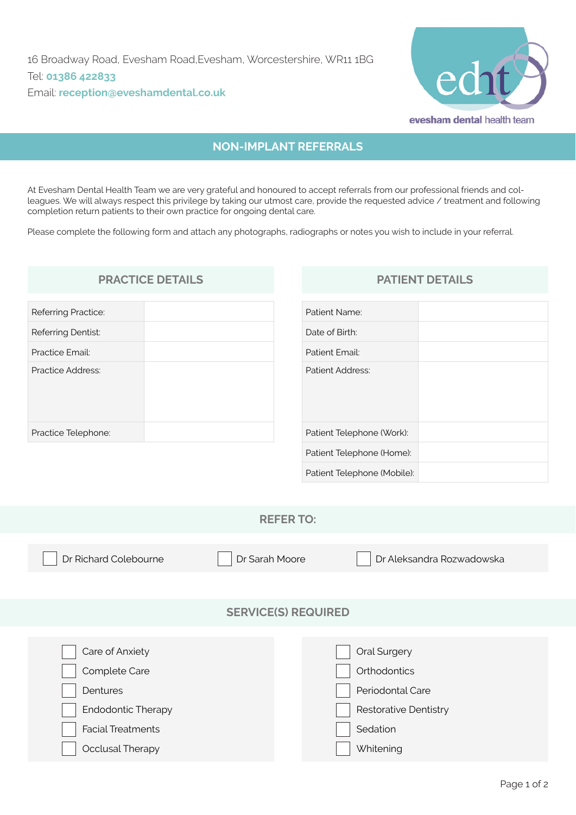

# **NON-IMPLANT REFERRALS**

At Evesham Dental Health Team we are very grateful and honoured to accept referrals from our professional friends and colleagues. We will always respect this privilege by taking our utmost care, provide the requested advice / treatment and following completion return patients to their own practice for ongoing dental care.

Please complete the following form and attach any photographs, radiographs or notes you wish to include in your referral.

# Referring Practice: Referring Dentist: Practice Email: Practice Address: Practice Telephone:

## **PRACTICE DETAILS PATIENT DETAILS**

| Patient Name:               |  |
|-----------------------------|--|
| Date of Birth:              |  |
| Patient Email:              |  |
| Patient Address:            |  |
| Patient Telephone (Work):   |  |
| Patient Telephone (Home):   |  |
| Patient Telephone (Mobile): |  |

#### **REFER TO:**

Dr Richard Colebourne **Dr Sarah Moore** Dr Aleksandra Rozwadowska **SERVICE(S) REQUIRED** Care of Anxiety Complete Care **Dentures** Endodontic Therapy Facial Treatments Occlusal Therapy Oral Surgery **Orthodontics** Periodontal Care Restorative Dentistry Sedation **Whitening**